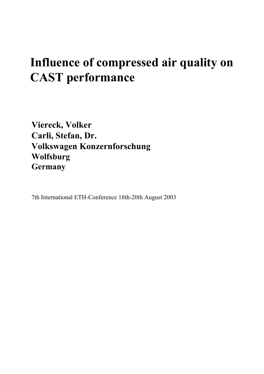# **Influence of compressed air quality on CAST performance**

**Viereck, Volker Carli, Stefan, Dr. Volkswagen Konzernforschung Wolfsburg Germany**

7th International ETH-Conference 18th-20th August 2003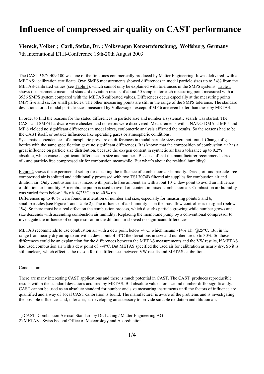### **Influence of compressed air quality on CAST performance**

#### **Viereck, Volker ; Carli, Stefan, Dr. ; Volkswagen Konzernforschung, Wolfsburg, Germany** 7th International ETH-Conference 18th-20th August 2003

The CAST<sup>1)</sup> S/N 409 100 was one of the first ones commercially produced by Matter Engineering. It was delivered with a METAS2) calibration certificate. Own SMPS measurements showed differences in modal particle sizes up to 34% from the METAS-calibrated values (see Table 1), which cannot only be explained with tolerances in the SMPS systems. Table 1 shows the arithmetic mean and standard deviation results of about 50 samples for each measuring point measured with a 3936 SMPS system compared with the METAS calibrated values. Differences occur especially at the measuring points (MP) five and six for small particles. The other measuring points are still in the range of the SMPS tolerance. The standard deviations for all modal particle sizes measured by Volkswagen except of MP 6 are even better than these by METAS.

In order to find the reasons for the stated differences in particle size and number a systematic search was started. The CAST and SMPS hardware were checked and no errors were discovered. Measurements with a NANO-DMA at MP 5 and MP 6 yielded no significant differences in modal sizes, coulometric analysis affirmed the results. So the reasons had to be the CAST itself, or outside influences like operating gases or atmospheric conditions.

Systematic dependencies of atmospheric pressure on differences in modal particle sizes were not found. Change of gas bottles with the same specification gave no significant differences. It is known that the composition of combustion air has a great influence on particle size distribution, because the oxygen content in synthetic air has a tolerance up to 0.2% absolute, which causes significant differences in size and number. Because of that the manufacturer recommends dried, oil- and particle-free compressed air for combustion meanwhile. But what's about the residual humidity?

Figure 2 shows the experimental set-up for checking the influence of combustion air humidity. Dried, oil-and particle free compressed air is splitted and additionally processed with two TSI 3074B filtered air supplies for combustion air and dilution air. Only combustion air is mixed with particle free ambient air with about 10°C dew point to avoid an influence of dilution air humidity. A membrane pump is used to avoid oil content in mixed combustion air. Combustion air humidity was varied from below 1 % r.h.  $@25^{\circ}$ C up to 40 % r.h.

Differences up to 40 % were found in alteration of number and size, especially for measuring points 5 and 6, small particles (see Figure 1 and Table 2). The influence of air humidity is on the mass flow controller is marginal (below 1%). So there must be a real effect on the combustion process, which disturbs particle growing while number grows and size descends with ascending combustion air humidity. Replacing the membrane pump by a conventional compressor to investigate the influence of compressor oil in the dilution air showed no significant differences.

METAS recommends to use combustion air with a dew point below -4 $\degree$ C, which means  $\sim$ 14% r.h. @25 $\degree$ C. But in the range from nearly dry air up to air with a dew point of -4°C the deviations in size and number are up to 30%. So these differences could be an explanation for the differences between the METAS measurements and the VW results, if METAS had used combustion air with a dew point of  $\sim$ -4°C. But METAS specified the used air for calibration as nearly dry. So it is still unclear, which effect is the reason for the differences between VW results and METAS calibration.

#### Conclusion:

There are many interesting CAST applications and there is much potential in CAST. The CAST produces reproducible results within the standard deviations acquired by METAS. But absolute values for size and number differ significantly. CAST cannot be used as an absolute standard for number and size measuring instruments until the factors of influence are quantified and a way of local CAST calibration is found. The manufacturer is aware of the problems and is investigating the possible influences and, inter alia, is developing an accessory to provide suitable oxidation and dilution air.

1) CAST- Combustion Aerosol Standard by Dr. L. Jing / Matter Engineering AG 2) METAS - Swiss Federal Office of Meteorology and Accreditation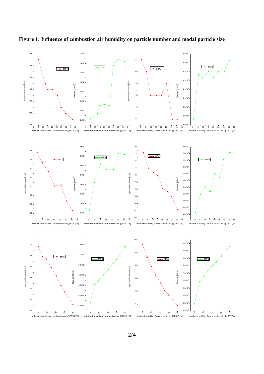

**Figure 1: Influence of combustion air humidity on particle number and modal particle size**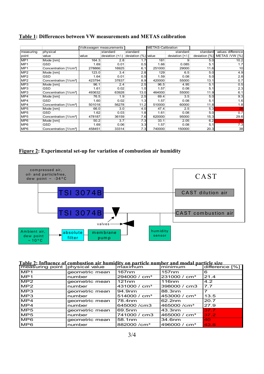#### **Table 1: Differences between VW measurements and METAS calibration**

|                 |                                    |        | Volkswagen measurements |                     | <b>METAS-Calibration</b> |                    |               |                   |
|-----------------|------------------------------------|--------|-------------------------|---------------------|--------------------------|--------------------|---------------|-------------------|
| measuring       | physical                           |        | standard                | standard            |                          | standard           | standard      | values difference |
| point           | value                              | value  | deviation $(+/-)$       | deviation (%) value |                          | deviation $[+/]-]$ | deviation [%] | METAS / VW [%]    |
| MP1             | Mode [nm]                          | 164.3  | 2.8                     |                     | 181                      |                    | 5.0           | 10.2              |
| MP <sub>1</sub> | <b>GSD</b>                         | 1.69   | 0.01                    | 0.5                 | 1.66                     | 0.085              | 5.1           | 1.7               |
| MP1             | Concentration [1/cm <sup>3</sup> ] | 278866 | 16925                   | 6.1                 | 251000                   | 29000              | 11.6          | 10                |
| MP <sub>2</sub> | Mode [nm]                          | 123.0  | 3.4                     | 2.8                 | 129                      | 6.5                | 5.0           | 4.9               |
| MP <sub>2</sub> | GSD                                | 1.64   | 0.01                    | 0.5                 | 1.59                     | 0.08               | 5.0           | 2.8               |
| MP <sub>2</sub> | Concentration [1/cm <sup>3</sup> ] | 423794 | 37837                   | 8.9                 | 420000                   | 55000              | 13.1          | 0.7               |
| MP3             | Mode [nm]                          | 96.1   | 2.4                     | 2.5                 | 96.5                     | 4.95               | 5.1           | 0.5               |
| MP <sub>3</sub> | GSD                                | 1.61   | 0.02                    | 1.0                 | 1.57                     | 0.08               | 5.1           | 2.3               |
| MP3             | Concentration [1/cm <sup>3</sup> ] | 493632 | 63928                   | 13.0                | 464000                   | 55000              | 11.9          | 6.1               |
| MP4             | Mode [nm]                          | 76.5   | 1.9                     | 2.5                 | 69.4                     | 3.5                | 5.0           | 9.3               |
| MP4             | GSD                                | 1.60   | 0.02                    | 1.3                 | 1.57                     | 0.08               | 5.1           | 1.6               |
| MP4             | Concentration [1/cm <sup>3</sup> ] | 501018 | 56278                   | 11.2                | 510000                   | 60000              | 11.8          | 1.8               |
| MP <sub>5</sub> | Mode [nm]                          | 66.0   | 3.0                     | 4.0                 | 47.4                     | 2.5                | 5.3           | 28                |
| MP <sub>5</sub> | GSD                                | 1.62   | 0.03                    | 1.8                 | 1.61                     | 0.08               | 5.0           | 0.7               |
| MP <sub>5</sub> | Concentration [1/cm <sup>3</sup> ] | 478187 | 36159                   | 7.6                 | 620000                   | 95000              | 15.3          | 29.6              |
| MP <sub>6</sub> | Mode [nm]                          | 50.2   | 3.7                     | 7.3                 | 33.1                     | 2.05               | 6.2           | 34                |
| MP <sub>6</sub> | GSD                                | 1.69   | 0.06                    | 3.3                 | 1.57                     | 0.08               | 5.1           | 7.3               |
| MP <sub>6</sub> | Concentration [1/cm <sup>3</sup> ] | 458451 | 33314                   | 7.31                | 740000                   | 150000             | 20.3          | 38                |

#### **Figure 2: Experimental set-up for variation of combustion air humidity**



#### **Table 2: Influence of combustion air humidity on particle number and modal particle size** measuring point physical value maximum minimum difference [%]

| -------<br>measuring point physical value |                | maximum                  | minimum                  | difference [%] |
|-------------------------------------------|----------------|--------------------------|--------------------------|----------------|
| MP1                                       | geometric mean | 167 <sub>nm</sub>        | 157nm                    | 6              |
| MP1                                       | number         | 294000 / cm <sup>3</sup> | 231000 / cm <sup>3</sup> | 21.4           |
| MP2                                       | geometric mean | 121nm                    | <b>116<sub>nm</sub></b>  | 4.2            |
| MP2                                       | number         | 431000 / cm <sup>3</sup> | 398000 / cm3             | 7.7            |
| MP3                                       | geometric mean | 94.9nm                   | 88.3nm                   |                |
| MP3                                       | number         | 514000 / cm <sup>3</sup> | 453000 / $cm3$           | 13.5           |
| MP4                                       | geometric mean | 78.4nm                   | 62.2nm                   | 20.7           |
| MP4                                       | number         | 645000 / cm3             | 465000 / cm <sup>3</sup> | 27.9           |
| MP5                                       | geometric mean | 69.5nm                   | 43.3nm                   | 37.7           |
| MP <sub>5</sub>                           | number         | 741000 / cm3             | 465000 / cm <sup>3</sup> | 37.2           |
| MP <sub>6</sub>                           | geometric mean | 58.1nm                   | 34.6nm                   | 40             |
| MP6                                       | number         | 882000 / cm <sup>3</sup> | 496000 / $cm3$           | 43.8           |